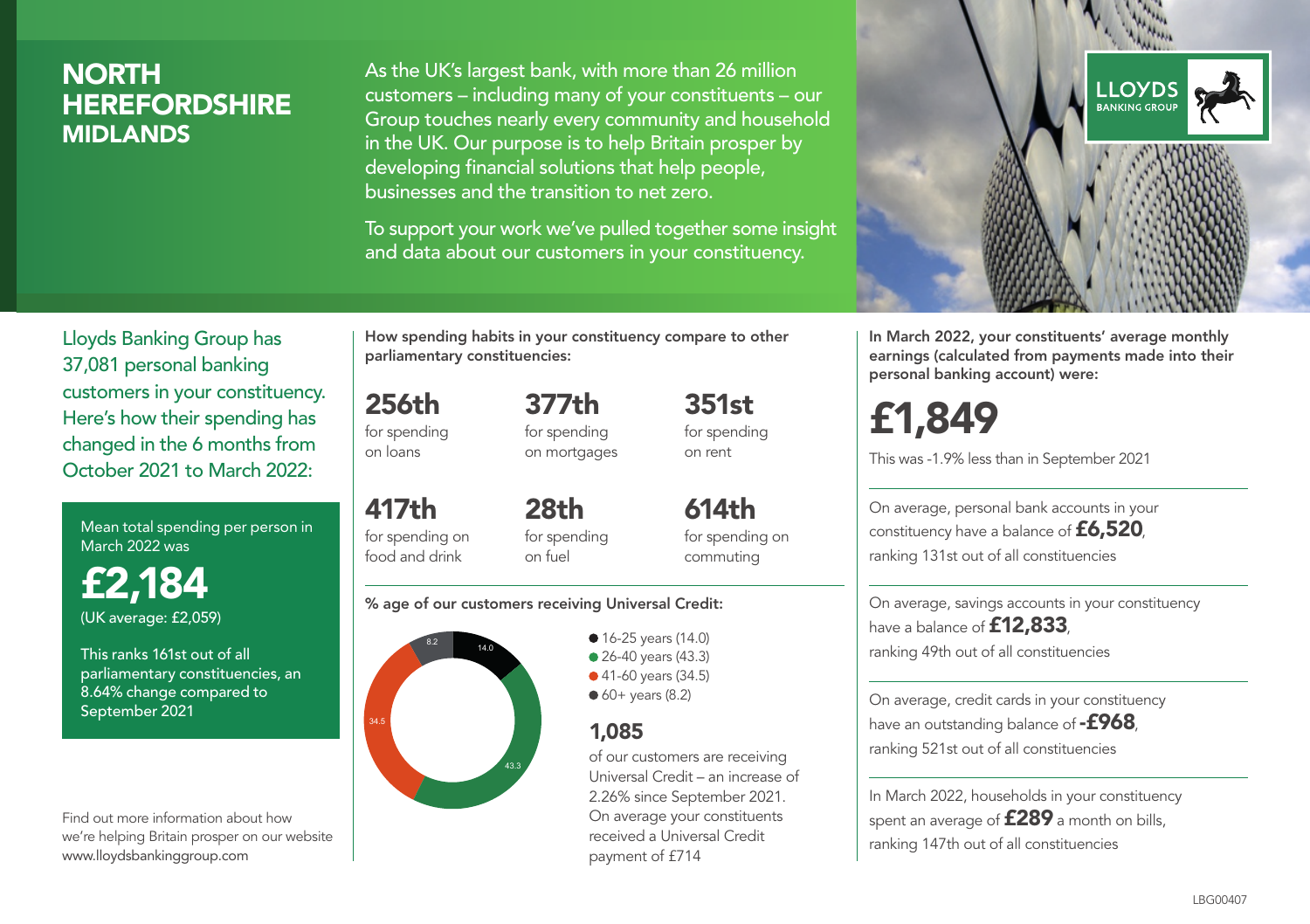# **NORTH HEREFORDSHIRE** MIDLANDS

As the UK's largest bank, with more than 26 million customers – including many of your constituents – our Group touches nearly every community and household in the UK. Our purpose is to help Britain prosper by developing financial solutions that help people, businesses and the transition to net zero.

To support your work we've pulled together some insight and data about our customers in your constituency.



Mean total spending per person in March 2022 was

£2,184 (UK average: £2,059)

This ranks 161st out of all parliamentary constituencies, an 8.64% change compared to September 2021

Find out more information about how we're helping Britain prosper on our website www.lloydsbankinggroup.com

How spending habits in your constituency compare to other parliamentary constituencies:

256th for spending on loans

417th

for spending on mortgages

377th

351st for spending on rent

for spending on food and drink 28th for spending on fuel

614th for spending on commuting

#### % age of our customers receiving Universal Credit:



• 16-25 years (14.0) • 26-40 years (43.3)

● 41-60 years (34.5)

 $60+$  years (8.2)

# 1,085

of our customers are receiving Universal Credit – an increase of 2.26% since September 2021. On average your constituents received a Universal Credit payment of £714



In March 2022, your constituents' average monthly earnings (calculated from payments made into their personal banking account) were:

# £1,849

This was -1.9% less than in September 2021

On average, personal bank accounts in your constituency have a balance of £6,520, ranking 131st out of all constituencies

On average, savings accounts in your constituency have a balance of **£12,833** ranking 49th out of all constituencies

On average, credit cards in your constituency have an outstanding balance of **-£968** ranking 521st out of all constituencies

In March 2022, households in your constituency spent an average of **£289** a month on bills, ranking 147th out of all constituencies